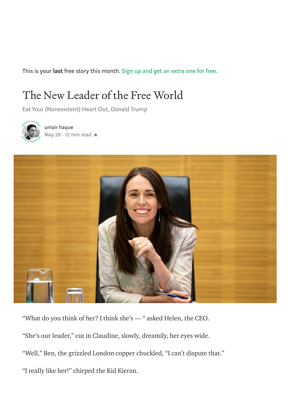This is your last free story this month. Sign up and get an [extra](https://medium.com/m/signin?operation=register&redirect=https%3A%2F%2Feand.co%2Fthe-new-leader-of-the-free-world-4c9faa78f9b3&source=-----4c9faa78f9b3---------------------metered_view_3-) one for free.

## The New Leader of the Free World

Eat Your (Nonexistent) Heart Out, Donald Trump



[u](https://eand.co/@umairh?source=post_page-----4c9faa78f9b3----------------------)mair [haque](https://eand.co/@umairh?source=post_page-----4c9faa78f9b3----------------------) [May](https://eand.co/the-new-leader-of-the-free-world-4c9faa78f9b3?source=post_page-----4c9faa78f9b3----------------------) 28  $\cdot$  12 min read  $\star$ 



"What do you think of her? I think she's — " asked Helen, the CEO. "She's our leader," cut in Claudine, slowly, dreamily, her eyes wide. "Well," Ben, the grizzled London copper chuckled, "I can't dispute that." "I really like her!" chirped the Kid Kieran.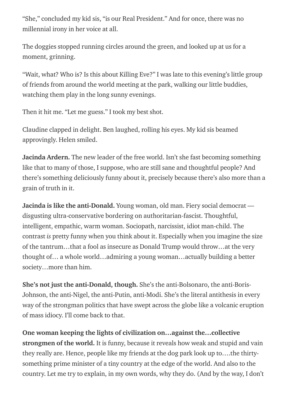"She," concluded my kid sis, "is our Real President." And for once, there was no millennial irony in her voice at all.

The doggies stopped running circles around the green, and looked up at us for a moment, grinning.

"Wait, what? Who is? Is this about Killing Eve?" I was late to this evening's little group of friends from around the world meeting at the park, walking our little buddies, watching them play in the long sunny evenings.

Then it hit me. "Let me guess." I took my best shot.

Claudine clapped in delight. Ben laughed, rolling his eyes. My kid sis beamed approvingly. Helen smiled.

Jacinda Ardern. The new leader of the free world. Isn't she fast becoming something like that to many of those, I suppose, who are still sane and thoughtful people? And there's something deliciously funny about it, precisely because there's also more than a grain of truth in it.

Jacinda is like the anti-Donald. Young woman, old man. Fiery social democrat disgusting ultra-conservative bordering on authoritarian-fascist. Thoughtful, intelligent, empathic, warm woman. Sociopath, narcissist, idiot man-child. The contrast is pretty funny when you think about it. Especially when you imagine the size of the tantrum…that a fool as insecure as [Donald](https://eand.co/donald-trump-american-idiot-1571f3606ea4?source=your_stories_page---------------------------) Trump would throw…at the very thought of… a whole world…admiring a young woman…actually building a better society…more than him.

She's not just the anti-Donald, though. She's the anti-Bolsonaro, the anti-Boris-Johnson, the anti-Nigel, the anti-Putin, anti-Modi. She's the literal antithesis in every way of the strongman politics that have swept across the globe like a volcanic eruption of mass idiocy. I'll come back to that.

One woman keeping the lights of civilization on…against the…collective strongmen of the world. It is funny, because it reveals how weak and stupid and vain they really are. Hence, people like my friends at the dog park look up to….the thirtysomething prime minister of a tiny country at the edge of the world. And also to the country. Let me try to explain, in my own words, why they do. (And by the way, I don't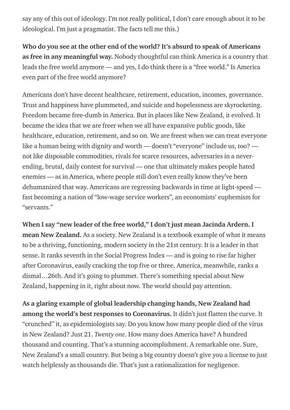say any of this out of ideology. I'm not really political, I don't care enough about it to be ideological. I'm just a pragmatist. The facts tell me this.)

Who do you see at the other end of the world? It's absurd to speak of Americans as free in any meaningful way. Nobody thoughtful can think America is a country that leads the free world anymore — and yes, I do think there is a "free world." Is America even part of the free world anymore?

Americans don't have decent healthcare, retirement, education, incomes, governance. Trust and happiness have plummeted, and suicide and hopelessness are skyrocketing. Freedom became [free-dumb](https://eand.co/how-freedom-became-free-dumb-in-america-baee33dc6476?source=your_stories_page---------------------------) in America. But in places like New Zealand, it evolved. It became the idea that we are freer when we all have expansive public goods, like healthcare, education, retirement, and so on. We are freest when we can treat everyone like a human being with dignity and worth — doesn't "everyone" include us, too? not like disposable commodities, rivals for scarce resources, adversaries in a neverending, brutal, daily contest for survival — one that ultimately makes people hated enemies — as in [America,](https://eand.co/how-the-american-idiot-made-america-a-failed-state-5656fde925b7?source=your_stories_page---------------------------) where people still don't even really know they've been [dehumanized](https://eand.co/the-age-of-suffering-how-america-abused-itself-to-death-b1b92e106581?source=your_stories_page---------------------------) that way. Americans are regressing backwards in time at light-speed fast becoming a nation of "low-wage service workers", an economists' euphemism for "servants."

When I say "new leader of the free world," I don't just mean Jacinda Ardern. I mean New Zealand. As a society. New Zealand is a textbook example of what it means to be a thriving, functioning, modern society in the 21st century. It is a leader in that sense. It ranks seventh in the Social [Progress](https://www.socialprogress.org/assets/downloads/resources/2019/2019-Social-Progress-Index-executive-summary-v2.0.pdf) Index — and is going to rise far higher after Coronavirus, easily cracking the top five or three. America, meanwhile, ranks a dismal…26th. And it's going to plummet. There's something special about New Zealand, happening in it, right about now. The world should pay attention.

As a glaring example of global leadership changing hands, New Zealand had among the world's best responses to Coronavirus. It didn't just flatten the curve. It "crunched" it, as epidemiologists say. Do you know how many people died of the virus in New Zealand? Just 21. Twenty one. How many does America have? A hundred thousand and counting. That's a stunning accomplishment. A remarkable one. Sure, New Zealand's a small country. But being a big country doesn't give you a license to just watch helplessly as thousands die. That's just a rationalization for negligence.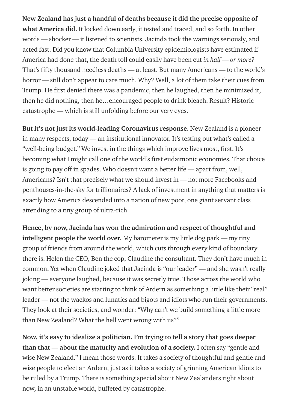New Zealand has just a handful of deaths because it did the precise opposite of what [America](https://eand.co/what-price-is-america-paying-for-trump-ninety-thousand-dead-and-counting-20e66a2bd7c1?source=your_stories_page---------------------------) did. It locked down early, it tested and traced, and so forth. In other words — shocker — it listened to scientists. Jacinda took the warnings seriously, and acted fast. Did you know that Columbia University [epidemiologists](https://eand.co/trumps-america-is-leading-the-world-in-coronavirus-deaths-despair-and-depression-5557010704c6?source=your_stories_page---------------------------) have estimated if America had done that, the death toll could easily have been cut in half — or more? That's fifty thousand needless deaths — at least. But many Americans — to the world's horror — still don't appear to care much. Why? Well, a lot of them take their cues from Trump. He first denied there was a pandemic, then he laughed, then he minimized it, then he did nothing, then [he…encouraged](https://eand.co/hello-america-is-anyone-in-charge-of-this-sinking-ship-36313c38a796?source=your_stories_page---------------------------) people to drink bleach. Result? Historic catastrophe — which is still unfolding before our very eyes.

But it's not just its world-leading Coronavirus response. New Zealand is a pioneer in many respects, today — an institutional innovator. It's testing out what's called a "well-being budget." We invest in the things which improve lives most, first. It's becoming what I might call one of the world's first eudaimonic economies. That choice is going to pay off in spades. Who doesn't want a better life — apart from, well, Americans? Isn't that precisely what we should invest in — not more Facebooks and penthouses-in-the-sky for trillionaires? A lack of investment in anything that matters is exactly how America descended into a nation of new poor, one giant servant class attending to a tiny group of ultra-rich.

Hence, by now, Jacinda has won the admiration and respect of thoughtful and intelligent people the world over. My barometer is my little dog park — my tiny group of friends from around the world, which cuts through every kind of boundary there is. Helen the CEO, Ben the cop, Claudine the consultant. They don't have much in common. Yet when Claudine joked that Jacinda is "our leader" — and she wasn't really joking — everyone laughed, because it was secretly true. Those across the world who want better societies are starting to think of Ardern as something a little like their "real" leader — not the wackos and lunatics and bigots and idiots who run their governments. They look at their societies, and wonder: "Why can't we build something a little more than New Zealand? What the hell went wrong with us?"

Now, it's easy to idealize a politician. I'm trying to tell a story that goes deeper than that — about the maturity and evolution of a society. I often say "gentle and wise New Zealand." I mean those words. It takes a society of thoughtful and gentle and wise people to elect an Ardern, just as it takes a society of grinning American Idiots to be ruled by a Trump. There is something special about New Zealanders right about now, in an unstable world, buffeted by catastrophe.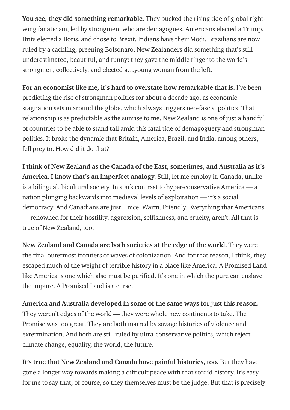You see, they did something remarkable. They bucked the rising tide of global rightwing fanaticism, led by strongmen, who are demagogues. Americans elected a Trump. Brits elected a Boris, and chose to Brexit. Indians have their Modi. Brazilians are now ruled by a cackling, preening Bolsonaro. New Zealanders did something that's still underestimated, beautiful, and funny: they gave the middle finger to the world's strongmen, collectively, and elected a…young woman from the left.

For an economist like me, it's hard to overstate how remarkable that is. I've been predicting the rise of strongman politics for about a decade ago, as economic stagnation sets in around the globe, which always triggers neo-fascist politics. That relationship is as predictable as the sunrise to me. New Zealand is one of just a handful of countries to be able to stand tall amid this fatal tide of demagoguery and strongman politics. It broke the dynamic that Britain, America, Brazil, and India, among others, fell prey to. How did it do that?

I think of New Zealand as the Canada of the East, sometimes, and Australia as it's America. I know that's an imperfect analogy. Still, let me employ it. Canada, unlike is a bilingual, bicultural society. In stark contrast to hyper-conservative America — a nation plunging backwards into medieval levels of exploitation — it's a social democracy. And Canadians are just…nice. Warm. Friendly. Everything that Americans — renowned for their hostility, aggression, selfishness, and cruelty, aren't. All that is true of New Zealand, too.

New Zealand and Canada are both societies at the edge of the world. They were the final outermost frontiers of waves of colonization. And for that reason, I think, they escaped much of the weight of terrible history in a place like America. A Promised Land like America is one which also must be purified. It's one in which the pure can enslave the impure. A Promised Land is a curse.

America and Australia developed in some of the same ways for just this reason. They weren't edges of the world — they were whole new continents to take. The Promise was too great. They are both marred by savage histories of violence and extermination. And both are still ruled by ultra-conservative politics, which reject climate change, equality, the world, the future.

It's true that New Zealand and Canada have painful histories, too. But they have gone a longer way towards making a difficult peace with that sordid history. It's easy for me to say that, of course, so they themselves must be the judge. But that is precisely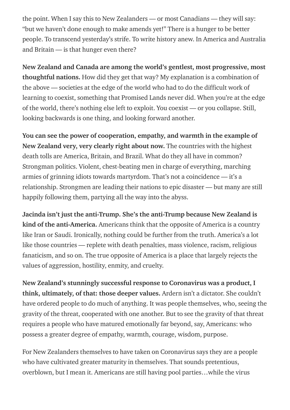the point. When I say this to New Zealanders — or most Canadians — they will say: "but we haven't done enough to make amends yet!" There is a hunger to be better people. To transcend yesterday's strife. To write history anew. In America and Australia and Britain — is that hunger even there?

New Zealand and Canada are among the world's gentlest, most progressive, most thoughtful nations. How did they get that way? My explanation is a combination of the above — societies at the edge of the world who had to do the difficult work of learning to coexist, something that Promised Lands never did. When you're at the edge of the world, there's nothing else left to exploit. You coexist — or you collapse. Still, looking backwards is one thing, and looking forward another.

You can see the power of cooperation, empathy, and warmth in the example of New Zealand very, very clearly right about now. The countries with the highest death tolls are America, Britain, and Brazil. What do they all have in common? Strongman politics. Violent, chest-beating men in charge of everything, marching armies of grinning idiots towards martyrdom. That's not a coincidence — it's a relationship. Strongmen are leading their nations to epic disaster — but many are still happily following them, partying all the way into the abyss.

Jacinda isn't just the anti-Trump. She's the anti-Trump because New Zealand is kind of the anti-America. Americans think that the opposite of America is a country like Iran or Saudi. Ironically, nothing could be further from the truth. America's a lot like those countries — replete with death penalties, mass violence, racism, religious fanaticism, and so on. The true opposite of America is a place that largely rejects the values of aggression, hostility, enmity, and cruelty.

New Zealand's stunningly successful response to Coronavirus was a product, I think, ultimately, of that: those deeper values. Ardern isn't a dictator. She couldn't have ordered people to do much of anything. It was people themselves, who, seeing the gravity of the threat, cooperated with one another. But to see the gravity of that threat requires a people who have matured emotionally far beyond, say, Americans: who possess a greater degree of empathy, warmth, courage, wisdom, purpose.

For New Zealanders themselves to have taken on Coronavirus says they are a people who have cultivated greater maturity in themselves. That sounds pretentious, overblown, but I mean it. Americans are still having pool parties…while the virus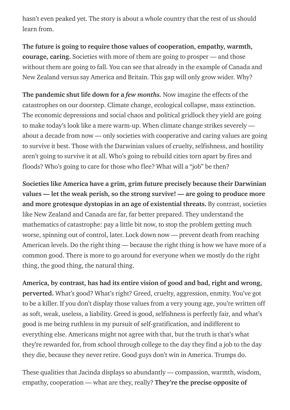hasn't even peaked yet. The story is about a whole country that the rest of us should learn from.

The future is going to require those values of [cooperation,](https://eand.co/the-future-sucks-can-we-fix-it-7ac322f6a90f?source=your_stories_page---------------------------) empathy, warmth, courage, caring. Societies with more of them are going to prosper — and those without them are going to fall. You can see that already in the example of Canada and New Zealand versus say America and Britain. This gap will only grow wider. Why?

The pandemic shut life down for a *few months*. Now imagine the effects of the catastrophes on our doorstep. Climate change, ecological collapse, mass extinction. The economic depressions and social chaos and political gridlock they yield are going to make today's look like a mere [warm-up.](https://eand.co/if-the-future-is-like-the-present-our-civilization-will-collapse-f05b2bce2d3e?source=your_stories_page---------------------------) When climate change strikes severely about a decade from now — only societies with cooperative and caring values are going to survive it best. Those with the Darwinian values of cruelty, selfishness, and hostility aren't going to survive it at all. Who's going to rebuild cities torn apart by fires and floods? Who's going to care for those who flee? What will a "job" be then?

Societies like America have a grim, grim future precisely because their Darwinian values — let the weak perish, so the strong survive! — are going to produce more and more grotesque dystopias in an age of existential threats. By contrast, societies like New Zealand and Canada are far, far better prepared. They understand the [mathematics](https://eand.co/the-economics-of-catastrophe-a18b4509d945?source=your_stories_page---------------------------) of catastrophe: pay a little bit now, to stop the problem getting much worse, spinning out of control, later. Lock down now — prevent death from reaching American levels. Do the right thing — because the right thing is how we have more of a common good. There is more to go around for everyone when we mostly do the right thing, the good thing, the natural thing.

America, by contrast, has had its entire vision of good and bad, right and wrong, perverted. What's good? What's right? Greed, cruelty, aggression, enmity. You've got to be a killer. If you don't display those values from a very young age, you're written off as soft, weak, useless, a liability. Greed is good, selfishness is perfectly fair, and what's good is me being ruthless in my pursuit of self-gratification, and indifferent to everything else. Americans might not agree with that, but the truth is that's what they're rewarded for, from school through college to the day they find a job to the day they die, because they never retire. Good guys don't win in America. Trumps do.

These qualities that Jacinda displays so abundantly — compassion, warmth, wisdom, empathy, cooperation — what are they, really? They're the precise opposite of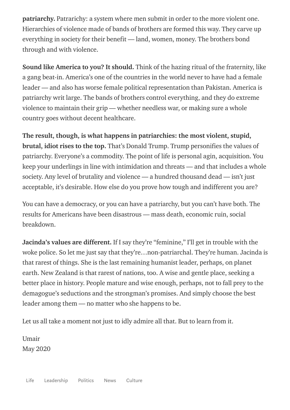patriarchy. Patrarichy: a system where men submit in order to the more violent one. Hierarchies of violence made of bands of brothers are formed this way. They carve up everything in society for their benefit — land, women, money. The brothers bond through and with violence.

Sound like America to you? It should. Think of the hazing ritual of the fraternity, like a gang beat-in. America's one of the countries in the world never to have had a female leader — and also has worse female political representation than Pakistan. America is patriarchy writ large. The bands of brothers control everything, and they do extreme violence to maintain their grip — whether needless war, or making sure a whole country goes without decent healthcare.

The result, though, is what happens in patriarchies: the most violent, stupid, brutal, idiot rises to the top. That's Donald Trump. Trump personifies the values of patriarchy. Everyone's a commodity. The point of life is personal agin, acquisition. You keep your underlings in line with intimidation and threats — and that includes a whole society. Any level of brutality and violence — a hundred [thousand](https://eand.co/what-price-is-america-paying-for-trump-ninety-thousand-dead-and-counting-20e66a2bd7c1?source=your_stories_page---------------------------) dead — isn't just acceptable, it's desirable. How else do you prove how tough and indifferent you are?

You can have a democracy, or you can have a patriarchy, but you can't have both. The results for Americans have been disastrous — mass death, economic ruin, social breakdown.

**Jacinda's values are different.** If I say they're "feminine," I'll get in trouble with the woke police. So let me just say that they're…non-patriarchal. They're human. Jacinda is that rarest of things. She is the last remaining humanist leader, perhaps, on planet earth. New Zealand is that rarest of nations, too. A wise and gentle place, seeking a better place in history. People mature and wise enough, perhaps, not to fall prey to the demagogue's seductions and the strongman's promises. And simply choose the best leader among them — no matter who she happens to be.

Let us all take a moment not just to idly admire all that. But to [learn](https://eand.co/the-future-sucks-can-we-fix-it-7ac322f6a90f?source=your_stories_page---------------------------) from it.

Umair May 2020